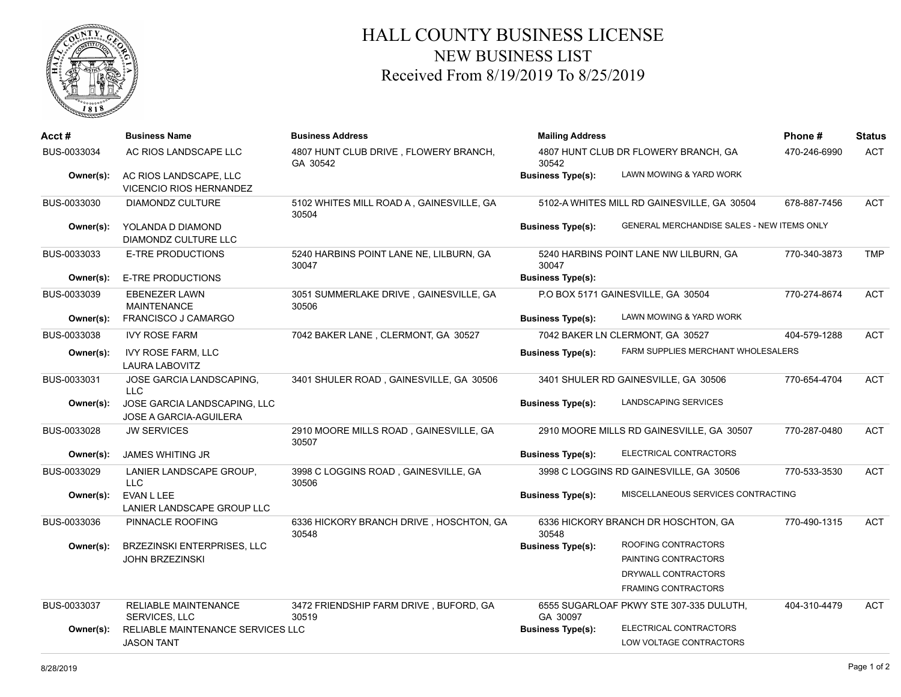

## HALL COUNTY BUSINESS LICENSE NEW BUSINESS LIST Received From 8/19/2019 To 8/25/2019

| Acct#       | <b>Business Name</b>                                     | <b>Business Address</b>                           | <b>Mailing Address</b>                        | Phone #                                     | Status       |            |
|-------------|----------------------------------------------------------|---------------------------------------------------|-----------------------------------------------|---------------------------------------------|--------------|------------|
| BUS-0033034 | AC RIOS LANDSCAPE LLC                                    | 4807 HUNT CLUB DRIVE, FLOWERY BRANCH,<br>GA 30542 | 4807 HUNT CLUB DR FLOWERY BRANCH, GA<br>30542 |                                             | 470-246-6990 | <b>ACT</b> |
| Owner(s):   | AC RIOS LANDSCAPE, LLC<br><b>VICENCIO RIOS HERNANDEZ</b> |                                                   | <b>Business Type(s):</b>                      | LAWN MOWING & YARD WORK                     |              |            |
| BUS-0033030 | <b>DIAMONDZ CULTURE</b>                                  | 5102 WHITES MILL ROAD A, GAINESVILLE, GA<br>30504 |                                               | 5102-A WHITES MILL RD GAINESVILLE, GA 30504 | 678-887-7456 | <b>ACT</b> |
| Owner(s):   | YOLANDA D DIAMOND<br>DIAMONDZ CULTURE LLC                |                                                   | <b>Business Type(s):</b>                      | GENERAL MERCHANDISE SALES - NEW ITEMS ONLY  |              |            |
| BUS-0033033 | E-TRE PRODUCTIONS                                        | 5240 HARBINS POINT LANE NE, LILBURN, GA<br>30047  | 30047                                         | 5240 HARBINS POINT LANE NW LILBURN, GA      | 770-340-3873 | <b>TMP</b> |
| Owner(s):   | <b>E-TRE PRODUCTIONS</b>                                 |                                                   | <b>Business Type(s):</b>                      |                                             |              |            |
| BUS-0033039 | <b>EBENEZER LAWN</b><br><b>MAINTENANCE</b>               | 3051 SUMMERLAKE DRIVE, GAINESVILLE, GA<br>30506   |                                               | P.O BOX 5171 GAINESVILLE, GA 30504          | 770-274-8674 | <b>ACT</b> |
| Owner(s):   | FRANCISCO J CAMARGO                                      |                                                   | <b>Business Type(s):</b>                      | LAWN MOWING & YARD WORK                     |              |            |
| BUS-0033038 | <b>IVY ROSE FARM</b>                                     | 7042 BAKER LANE, CLERMONT, GA 30527               |                                               | 7042 BAKER LN CLERMONT, GA 30527            | 404-579-1288 | <b>ACT</b> |
| Owner(s):   | <b>IVY ROSE FARM, LLC</b><br><b>LAURA LABOVITZ</b>       |                                                   | <b>Business Type(s):</b>                      | <b>FARM SUPPLIES MERCHANT WHOLESALERS</b>   |              |            |
| BUS-0033031 | JOSE GARCIA LANDSCAPING,<br><b>LLC</b>                   | 3401 SHULER ROAD, GAINESVILLE, GA 30506           |                                               | 3401 SHULER RD GAINESVILLE, GA 30506        | 770-654-4704 | <b>ACT</b> |
| Owner(s):   | JOSE GARCIA LANDSCAPING, LLC<br>JOSE A GARCIA-AGUILERA   |                                                   | <b>Business Type(s):</b>                      | LANDSCAPING SERVICES                        |              |            |
| BUS-0033028 | <b>JW SERVICES</b>                                       | 2910 MOORE MILLS ROAD, GAINESVILLE, GA<br>30507   |                                               | 2910 MOORE MILLS RD GAINESVILLE, GA 30507   | 770-287-0480 | <b>ACT</b> |
| Owner(s):   | <b>JAMES WHITING JR</b>                                  |                                                   | <b>Business Type(s):</b>                      | ELECTRICAL CONTRACTORS                      |              |            |
| BUS-0033029 | LANIER LANDSCAPE GROUP,<br><b>LLC</b>                    | 3998 C LOGGINS ROAD, GAINESVILLE, GA<br>30506     |                                               | 3998 C LOGGINS RD GAINESVILLE, GA 30506     | 770-533-3530 | <b>ACT</b> |
| Owner(s):   | EVAN L LEE<br>LANIER LANDSCAPE GROUP LLC                 |                                                   | <b>Business Type(s):</b>                      | MISCELLANEOUS SERVICES CONTRACTING          |              |            |
| BUS-0033036 | PINNACLE ROOFING                                         | 6336 HICKORY BRANCH DRIVE, HOSCHTON, GA<br>30548  | 30548                                         | 6336 HICKORY BRANCH DR HOSCHTON, GA         | 770-490-1315 | <b>ACT</b> |
| Owner(s):   | <b>BRZEZINSKI ENTERPRISES, LLC</b>                       |                                                   | <b>Business Type(s):</b>                      | ROOFING CONTRACTORS                         |              |            |
|             | <b>JOHN BRZEZINSKI</b>                                   |                                                   |                                               | PAINTING CONTRACTORS                        |              |            |
|             |                                                          |                                                   |                                               | DRYWALL CONTRACTORS                         |              |            |
|             |                                                          |                                                   |                                               | <b>FRAMING CONTRACTORS</b>                  |              |            |
| BUS-0033037 | RELIABLE MAINTENANCE<br>SERVICES, LLC                    | 3472 FRIENDSHIP FARM DRIVE, BUFORD, GA<br>30519   | GA 30097                                      | 6555 SUGARLOAF PKWY STE 307-335 DULUTH,     | 404-310-4479 | <b>ACT</b> |
| Owner(s):   | RELIABLE MAINTENANCE SERVICES LLC                        |                                                   | <b>Business Type(s):</b>                      | ELECTRICAL CONTRACTORS                      |              |            |
|             | <b>JASON TANT</b>                                        |                                                   |                                               | LOW VOLTAGE CONTRACTORS                     |              |            |